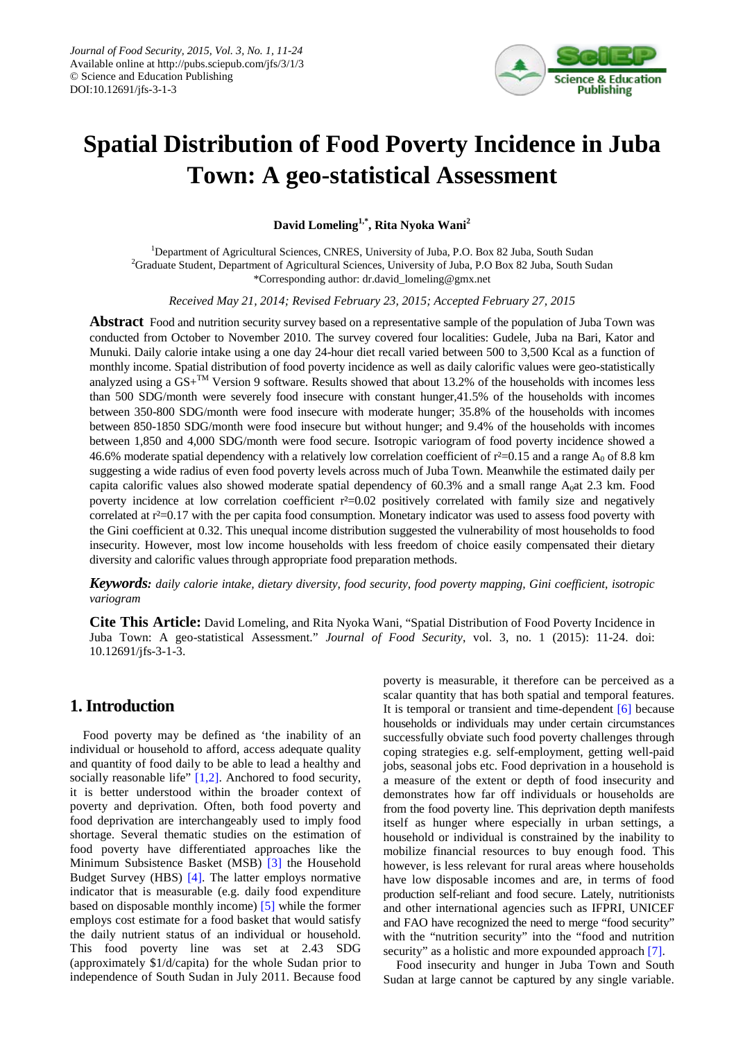

# **Spatial Distribution of Food Poverty Incidence in Juba Town: A geo-statistical Assessment**

**David Lomeling1,\*, Rita Nyoka Wani2**

<sup>1</sup>Department of Agricultural Sciences, CNRES, University of Juba, P.O. Box 82 Juba, South Sudan <sup>2</sup>Graduate Student, Department of Agricultural Sciences, University of Juba, P.O Box 82 Juba, South Sudan \*Corresponding author: dr.david\_lomeling@gmx.net

*Received May 21, 2014; Revised February 23, 2015; Accepted February 27, 2015*

**Abstract** Food and nutrition security survey based on a representative sample of the population of Juba Town was conducted from October to November 2010. The survey covered four localities: Gudele, Juba na Bari, Kator and Munuki. Daily calorie intake using a one day 24-hour diet recall varied between 500 to 3,500 Kcal as a function of monthly income. Spatial distribution of food poverty incidence as well as daily calorific values were geo-statistically analyzed using a  $GS+^{TM}$  Version 9 software. Results showed that about 13.2% of the households with incomes less than 500 SDG/month were severely food insecure with constant hunger,41.5% of the households with incomes between 350-800 SDG/month were food insecure with moderate hunger; 35.8% of the households with incomes between 850-1850 SDG/month were food insecure but without hunger; and 9.4% of the households with incomes between 1,850 and 4,000 SDG/month were food secure. Isotropic variogram of food poverty incidence showed a 46.6% moderate spatial dependency with a relatively low correlation coefficient of  $r^2=0.15$  and a range A<sub>0</sub> of 8.8 km suggesting a wide radius of even food poverty levels across much of Juba Town. Meanwhile the estimated daily per capita calorific values also showed moderate spatial dependency of  $60.3\%$  and a small range A<sub>0</sub>at 2.3 km. Food poverty incidence at low correlation coefficient  $r^2=0.02$  positively correlated with family size and negatively correlated at r<sup>2</sup>=0.17 with the per capita food consumption. Monetary indicator was used to assess food poverty with the Gini coefficient at 0.32. This unequal income distribution suggested the vulnerability of most households to food insecurity. However, most low income households with less freedom of choice easily compensated their dietary diversity and calorific values through appropriate food preparation methods.

*Keywords: daily calorie intake, dietary diversity, food security, food poverty mapping, Gini coefficient, isotropic variogram*

**Cite This Article:** David Lomeling, and Rita Nyoka Wani, "Spatial Distribution of Food Poverty Incidence in Juba Town: A geo-statistical Assessment." *Journal of Food Security*, vol. 3, no. 1 (2015): 11-24. doi: 10.12691/jfs-3-1-3.

# **1. Introduction**

Food poverty may be defined as 'the inability of an individual or household to afford, access adequate quality and quantity of food daily to be able to lead a healthy and socially reasonable life" [\[1,2\].](#page-12-0) Anchored to food security, it is better understood within the broader context of poverty and deprivation. Often, both food poverty and food deprivation are interchangeably used to imply food shortage. Several thematic studies on the estimation of food poverty have differentiated approaches like the Minimum Subsistence Basket (MSB) [\[3\]](#page-12-1) the Household Budget Survey (HBS) [\[4\].](#page-12-2) The latter employs normative indicator that is measurable (e.g. daily food expenditure based on disposable monthly income) [\[5\]](#page-12-3) while the former employs cost estimate for a food basket that would satisfy the daily nutrient status of an individual or household. This food poverty line was set at 2.43 SDG (approximately \$1/d/capita) for the whole Sudan prior to independence of South Sudan in July 2011. Because food poverty is measurable, it therefore can be perceived as a scalar quantity that has both spatial and temporal features. It is temporal or transient and time-dependent [\[6\]](#page-12-4) because households or individuals may under certain circumstances successfully obviate such food poverty challenges through coping strategies e.g. self-employment, getting well-paid jobs, seasonal jobs etc. Food deprivation in a household is a measure of the extent or depth of food insecurity and demonstrates how far off individuals or households are from the food poverty line. This deprivation depth manifests itself as hunger where especially in urban settings, a household or individual is constrained by the inability to mobilize financial resources to buy enough food. This however, is less relevant for rural areas where households have low disposable incomes and are, in terms of food production self-reliant and food secure. Lately, nutritionists and other international agencies such as IFPRI, UNICEF and FAO have recognized the need to merge "food security" with the "nutrition security" into the "food and nutrition security" as a holistic and more expounded approach [\[7\].](#page-12-5)

Food insecurity and hunger in Juba Town and South Sudan at large cannot be captured by any single variable.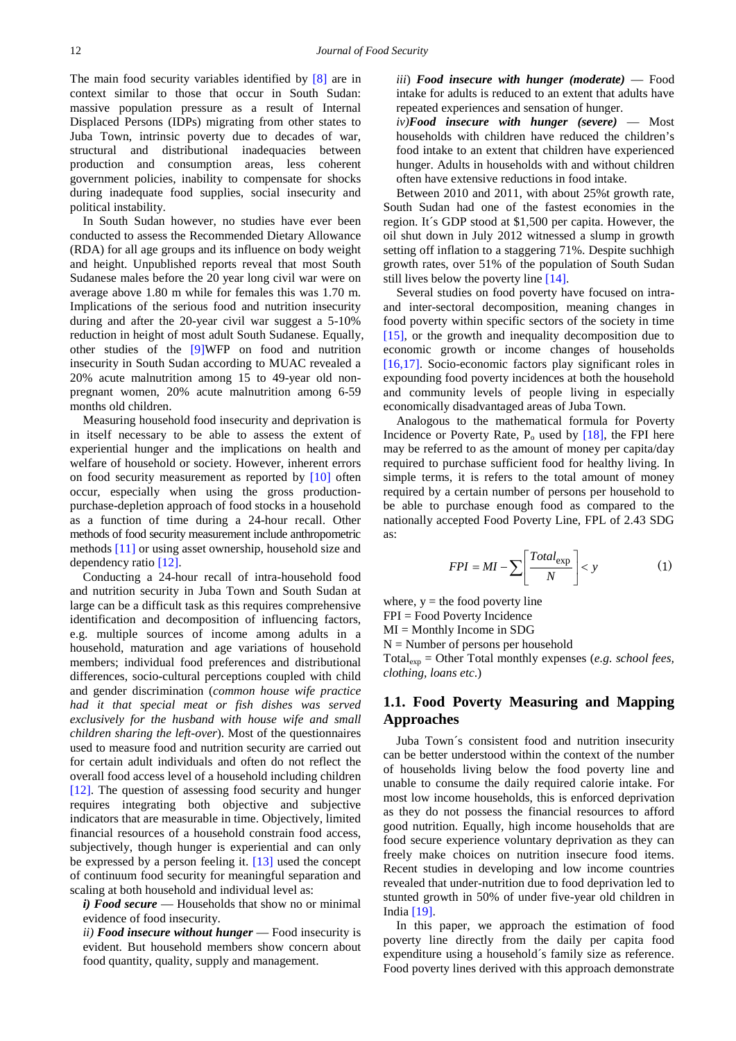The main food security variables identified by [\[8\]](#page-12-6) are in context similar to those that occur in South Sudan: massive population pressure as a result of Internal Displaced Persons (IDPs) migrating from other states to Juba Town, intrinsic poverty due to decades of war, structural and distributional inadequacies between production and consumption areas, less coherent government policies, inability to compensate for shocks during inadequate food supplies, social insecurity and political instability.

In South Sudan however, no studies have ever been conducted to assess the Recommended Dietary Allowance (RDA) for all age groups and its influence on body weight and height. Unpublished reports reveal that most South Sudanese males before the 20 year long civil war were on average above 1.80 m while for females this was 1.70 m. Implications of the serious food and nutrition insecurity during and after the 20-year civil war suggest a 5-10% reduction in height of most adult South Sudanese. Equally, other studies of the [\[9\]W](#page-12-7)FP on food and nutrition insecurity in South Sudan according to MUAC revealed a 20% acute malnutrition among 15 to 49-year old nonpregnant women, 20% acute malnutrition among 6-59 months old children.

Measuring household food insecurity and deprivation is in itself necessary to be able to assess the extent of experiential hunger and the implications on health and welfare of household or society. However, inherent errors on food security measurement as reported by [\[10\]](#page-12-8) often occur, especially when using the gross productionpurchase-depletion approach of food stocks in a household as a function of time during a 24-hour recall. Other methods of food security measurement include anthropometric methods [\[11\]](#page-12-9) or using asset ownership, household size and dependency ratio [\[12\].](#page-12-10)

Conducting a 24-hour recall of intra-household food and nutrition security in Juba Town and South Sudan at large can be a difficult task as this requires comprehensive identification and decomposition of influencing factors, e.g. multiple sources of income among adults in a household, maturation and age variations of household members; individual food preferences and distributional differences, socio-cultural perceptions coupled with child and gender discrimination (*common house wife practice had it that special meat or fish dishes was served exclusively for the husband with house wife and small children sharing the left-over*). Most of the questionnaires used to measure food and nutrition security are carried out for certain adult individuals and often do not reflect the overall food access level of a household including children [\[12\].](#page-12-10) The question of assessing food security and hunger requires integrating both objective and subjective indicators that are measurable in time. Objectively, limited financial resources of a household constrain food access, subjectively, though hunger is experiential and can only be expressed by a person feeling it. [\[13\]](#page-12-11) used the concept of continuum food security for meaningful separation and scaling at both household and individual level as:

*i) Food secure* — Households that show no or minimal evidence of food insecurity.

*ii) Food insecure without hunger* — Food insecurity is evident. But household members show concern about food quantity, quality, supply and management.

*iii*) *Food insecure with hunger (moderate)* — Food intake for adults is reduced to an extent that adults have repeated experiences and sensation of hunger.

*iv)Food insecure with hunger (severe)* — Most households with children have reduced the children's food intake to an extent that children have experienced hunger. Adults in households with and without children often have extensive reductions in food intake.

Between 2010 and 2011, with about 25%t growth rate, South Sudan had one of the fastest economies in the region. It´s GDP stood at \$1,500 per capita. However, the oil shut down in July 2012 witnessed a slump in growth setting off inflation to a staggering 71%. Despite suchhigh growth rates, over 51% of the population of South Sudan still lives below the poverty line [\[14\].](#page-12-12)

Several studies on food poverty have focused on intraand inter-sectoral decomposition, meaning changes in food poverty within specific sectors of the society in time [\[15\],](#page-12-13) or the growth and inequality decomposition due to economic growth or income changes of households [\[16,17\].](#page-12-14) Socio-economic factors play significant roles in expounding food poverty incidences at both the household and community levels of people living in especially economically disadvantaged areas of Juba Town.

Analogous to the mathematical formula for Poverty Incidence or Poverty Rate,  $P_0$  used by  $[18]$ , the FPI here may be referred to as the amount of money per capita/day required to purchase sufficient food for healthy living. In simple terms, it is refers to the total amount of money required by a certain number of persons per household to be able to purchase enough food as compared to the nationally accepted Food Poverty Line, FPL of 2.43 SDG as:

$$
FPI = MI - \sum \left[ \frac{Total_{exp}}{N} \right] < y \tag{1}
$$

where,  $y =$  the food poverty line FPI = Food Poverty Incidence

 $MI =$ Monthly Income in SDG

 $N =$  Number of persons per household

Totalexp = Other Total monthly expenses (*e.g. school fees, clothing, loans etc*.)

## **1.1. Food Poverty Measuring and Mapping Approaches**

Juba Town´s consistent food and nutrition insecurity can be better understood within the context of the number of households living below the food poverty line and unable to consume the daily required calorie intake. For most low income households, this is enforced deprivation as they do not possess the financial resources to afford good nutrition. Equally, high income households that are food secure experience voluntary deprivation as they can freely make choices on nutrition insecure food items. Recent studies in developing and low income countries revealed that under-nutrition due to food deprivation led to stunted growth in 50% of under five-year old children in India [\[19\].](#page-12-16)

In this paper, we approach the estimation of food poverty line directly from the daily per capita food expenditure using a household´s family size as reference. Food poverty lines derived with this approach demonstrate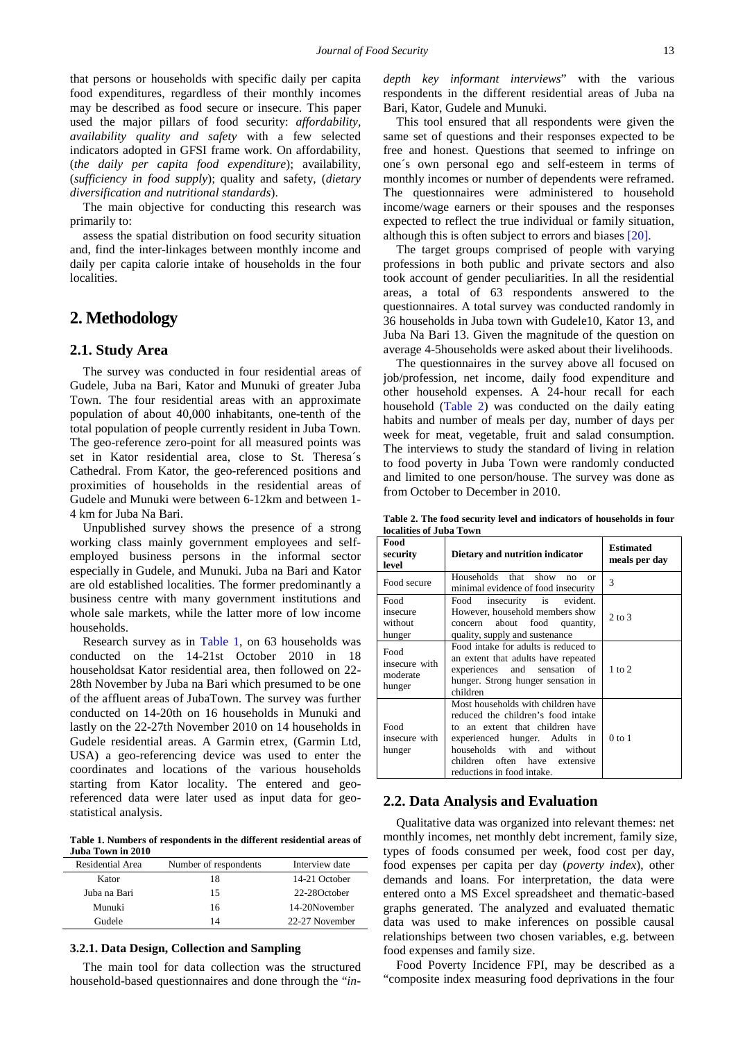that persons or households with specific daily per capita food expenditures, regardless of their monthly incomes may be described as food secure or insecure. This paper used the major pillars of food security: *affordability, availability quality and safety* with a few selected indicators adopted in GFSI frame work. On affordability, (*the daily per capita food expenditure*); availability, (*sufficiency in food supply*); quality and safety, (*dietary diversification and nutritional standards*).

The main objective for conducting this research was primarily to:

assess the spatial distribution on food security situation and, find the inter-linkages between monthly income and daily per capita calorie intake of households in the four localities.

# **2. Methodology**

## **2.1. Study Area**

The survey was conducted in four residential areas of Gudele, Juba na Bari, Kator and Munuki of greater Juba Town. The four residential areas with an approximate population of about 40,000 inhabitants, one-tenth of the total population of people currently resident in Juba Town. The geo-reference zero-point for all measured points was set in Kator residential area, close to St. Theresa´s Cathedral. From Kator, the geo-referenced positions and proximities of households in the residential areas of Gudele and Munuki were between 6-12km and between 1- 4 km for Juba Na Bari.

Unpublished survey shows the presence of a strong working class mainly government employees and selfemployed business persons in the informal sector especially in Gudele, and Munuki. Juba na Bari and Kator are old established localities. The former predominantly a business centre with many government institutions and whole sale markets, while the latter more of low income households.

Research survey as in [Table 1,](#page-2-0) on 63 households was conducted on the 14-21st October 2010 in 18 householdsat Kator residential area, then followed on 22- 28th November by Juba na Bari which presumed to be one of the affluent areas of JubaTown. The survey was further conducted on 14-20th on 16 households in Munuki and lastly on the 22-27th November 2010 on 14 households in Gudele residential areas. A Garmin etrex, (Garmin Ltd, USA) a geo-referencing device was used to enter the coordinates and locations of the various households starting from Kator locality. The entered and georeferenced data were later used as input data for geostatistical analysis.

**Table 1. Numbers of respondents in the different residential areas of Juba Town in 2010**

<span id="page-2-0"></span>

| Residential Area | Number of respondents | Interview date |
|------------------|-----------------------|----------------|
| Kator            | 18                    | 14-21 October  |
| Juba na Bari     | 15                    | 22-28October   |
| Munuki           | 16                    | 14-20November  |
| Gudele           | 14                    | 22-27 November |

## **3.2.1. Data Design, Collection and Sampling**

The main tool for data collection was the structured household-based questionnaires and done through the "*in-* *depth key informant interviews*" with the various respondents in the different residential areas of Juba na Bari, Kator, Gudele and Munuki.

This tool ensured that all respondents were given the same set of questions and their responses expected to be free and honest. Questions that seemed to infringe on one´s own personal ego and self-esteem in terms of monthly incomes or number of dependents were reframed. The questionnaires were administered to household income/wage earners or their spouses and the responses expected to reflect the true individual or family situation, although this is often subject to errors and biase[s \[20\].](#page-12-17)

The target groups comprised of people with varying professions in both public and private sectors and also took account of gender peculiarities. In all the residential areas, a total of 63 respondents answered to the questionnaires. A total survey was conducted randomly in 36 households in Juba town with Gudele10, Kator 13, and Juba Na Bari 13. Given the magnitude of the question on average 4-5households were asked about their livelihoods.

The questionnaires in the survey above all focused on job/profession, net income, daily food expenditure and other household expenses. A 24-hour recall for each household [\(Table 2\)](#page-2-1) was conducted on the daily eating habits and number of meals per day, number of days per week for meat, vegetable, fruit and salad consumption. The interviews to study the standard of living in relation to food poverty in Juba Town were randomly conducted and limited to one person/house. The survey was done as from October to December in 2010.

**Table 2. The food security level and indicators of households in four localities of Juba Town**

<span id="page-2-1"></span>

| ivlainics vi Juva-Lowii                     |                                                                                                                                                                                                                                                           |                                   |  |  |  |  |  |
|---------------------------------------------|-----------------------------------------------------------------------------------------------------------------------------------------------------------------------------------------------------------------------------------------------------------|-----------------------------------|--|--|--|--|--|
| Food<br>security<br>level                   | Dietary and nutrition indicator                                                                                                                                                                                                                           | <b>Estimated</b><br>meals per day |  |  |  |  |  |
| Food secure                                 | Households that<br>show<br>no<br>$\alpha$<br>minimal evidence of food insecurity                                                                                                                                                                          | 3                                 |  |  |  |  |  |
| Food<br>insecure<br>without<br>hunger       | insecurity is evident.<br>Food<br>However, household members show<br>food<br>about<br>quantity,<br>concern<br>quality, supply and sustenance                                                                                                              | $2 \text{ to } 3$                 |  |  |  |  |  |
| Food<br>insecure with<br>moderate<br>hunger | Food intake for adults is reduced to<br>an extent that adults have repeated<br>sensation of<br>experiences<br>and<br>hunger. Strong hunger sensation in<br>children                                                                                       | $1$ to $2$                        |  |  |  |  |  |
| Food<br>insecure with<br>hunger             | Most households with children have<br>reduced the children's food intake<br>an extent that children have<br>to<br>experienced hunger. Adults<br>in<br>households<br>with<br>and<br>without<br>children often have extensive<br>reductions in food intake. | $0$ to $1$                        |  |  |  |  |  |

## **2.2. Data Analysis and Evaluation**

Qualitative data was organized into relevant themes: net monthly incomes, net monthly debt increment, family size, types of foods consumed per week, food cost per day, food expenses per capita per day (*poverty index*), other demands and loans. For interpretation, the data were entered onto a MS Excel spreadsheet and thematic-based graphs generated. The analyzed and evaluated thematic data was used to make inferences on possible causal relationships between two chosen variables, e.g. between food expenses and family size.

Food Poverty Incidence FPI, may be described as a "composite index measuring food deprivations in the four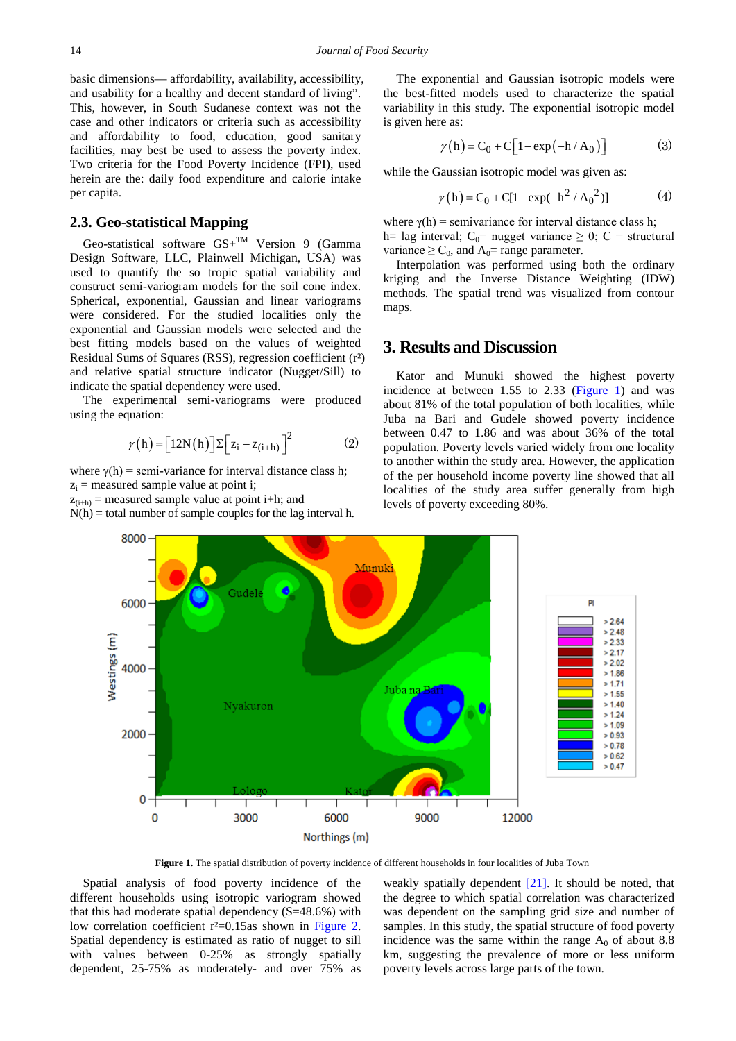basic dimensions— affordability, availability, accessibility, and usability for a healthy and decent standard of living". This, however, in South Sudanese context was not the case and other indicators or criteria such as accessibility and affordability to food, education, good sanitary facilities, may best be used to assess the poverty index. Two criteria for the Food Poverty Incidence (FPI), used herein are the: daily food expenditure and calorie intake per capita.

# **2.3. Geo-statistical Mapping**

Geo-statistical software  $GS +^{TM}$  Version 9 (Gamma Design Software, LLC, Plainwell Michigan, USA) was used to quantify the so tropic spatial variability and construct semi-variogram models for the soil cone index. Spherical, exponential, Gaussian and linear variograms were considered. For the studied localities only the exponential and Gaussian models were selected and the best fitting models based on the values of weighted Residual Sums of Squares (RSS), regression coefficient (r²) and relative spatial structure indicator (Nugget/Sill) to indicate the spatial dependency were used.

The experimental semi-variograms were produced using the equation:

$$
\gamma(h) = [12N(h)] \Sigma [z_i - z_{(i+h)}]^2 \tag{2}
$$

Gudel

where  $\gamma(h)$  = semi-variance for interval distance class h;  $z_i$  = measured sample value at point i;

 $z_{(i+h)}$  = measured sample value at point i+h; and

8000

<span id="page-3-0"></span> $N(h) =$  total number of sample couples for the lag interval h.

The exponential and Gaussian isotropic models were the best-fitted models used to characterize the spatial variability in this study. The exponential isotropic model is given here as:

$$
\gamma(h) = C_0 + C \left[ 1 - \exp(-h / A_0) \right] \tag{3}
$$

while the Gaussian isotropic model was given as:

$$
\gamma(h) = C_0 + C[1 - \exp(-h^2 / A_0^2)]
$$
 (4)

where  $\gamma(h)$  = semivariance for interval distance class h; h= lag interval;  $C_0$ = nugget variance  $\geq 0$ ; C = structural variance  $\geq C_0$ , and  $A_0$ = range parameter.

Interpolation was performed using both the ordinary kriging and the Inverse Distance Weighting (IDW) methods. The spatial trend was visualized from contour maps.

# **3. Results and Discussion**

Kator and Munuki showed the highest poverty incidence at between 1.55 to 2.33 [\(Figure 1\)](#page-3-0) and was about 81% of the total population of both localities, while Juba na Bari and Gudele showed poverty incidence between 0.47 to 1.86 and was about 36% of the total population. Poverty levels varied widely from one locality to another within the study area. However, the application of the per household income poverty line showed that all localities of the study area suffer generally from high levels of poverty exceeding 80%.

6000  $> 2.64$  $> 2.48$ Westings (m)  $> 2.33$  $> 2.17$  $> 2.02$ 4000  $> 1.86$  $> 1.71$ Juba na **Ba**i  $> 1.55$  $> 1.40$ Nyakuron  $> 1.24$  $> 1.09$ 2000  $> 0.93$  $> 0.78$  $> 0.62$  $> 0.47$ n  $\bf{0}$ 6000 9000 3000 12000 Northings (m)

Munuki

**Figure 1.** The spatial distribution of poverty incidence of different households in four localities of Juba Town

Spatial analysis of food poverty incidence of the different households using isotropic variogram showed that this had moderate spatial dependency  $(S=48.6\%)$  with low correlation coefficient r<sup>2</sup>=0.15as shown in [Figure 2.](#page-4-0) Spatial dependency is estimated as ratio of nugget to sill with values between 0-25% as strongly spatially dependent, 25-75% as moderately- and over 75% as weakly spatially dependent [\[21\].](#page-12-18) It should be noted, that the degree to which spatial correlation was characterized was dependent on the sampling grid size and number of samples. In this study, the spatial structure of food poverty incidence was the same within the range  $A_0$  of about 8.8 km, suggesting the prevalence of more or less uniform poverty levels across large parts of the town.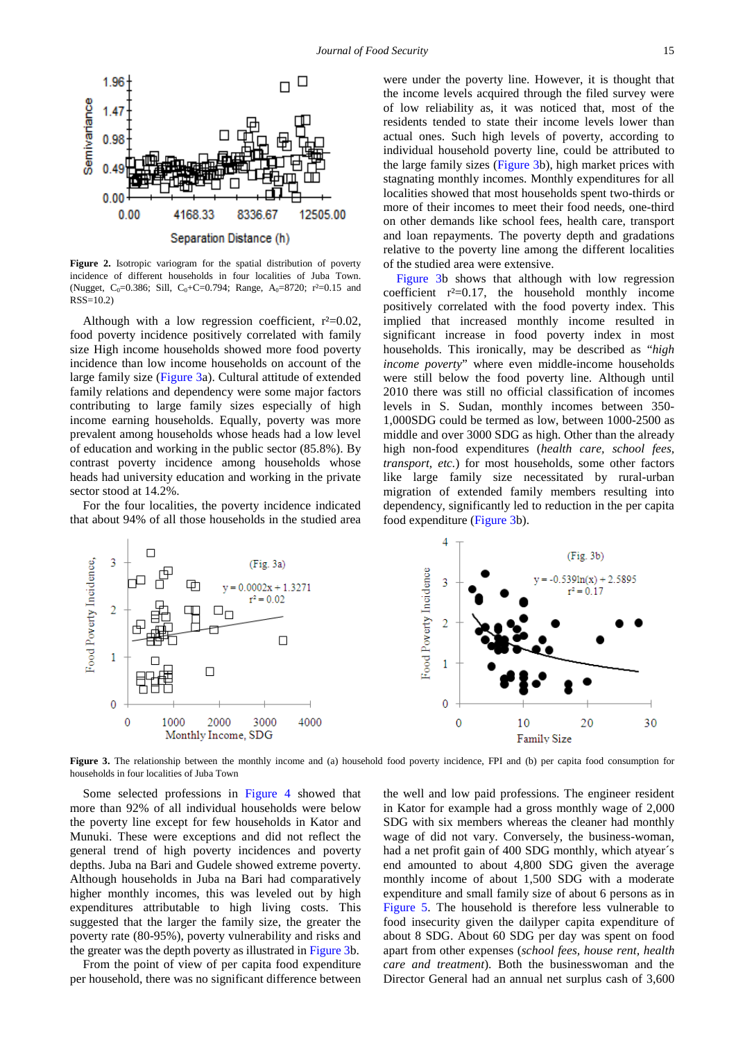<span id="page-4-0"></span>

**Figure 2.** Isotropic variogram for the spatial distribution of poverty incidence of different households in four localities of Juba Town. (Nugget,  $C_0=0.386$ ; Sill,  $C_0+C=0.794$ ; Range,  $A_0=8720$ ;  $r^2=0.15$  and RSS=10.2)

Although with a low regression coefficient,  $r^2=0.02$ , food poverty incidence positively correlated with family size High income households showed more food poverty incidence than low income households on account of the large family size [\(Figure 3a](#page-4-1)). Cultural attitude of extended family relations and dependency were some major factors contributing to large family sizes especially of high income earning households. Equally, poverty was more prevalent among households whose heads had a low level of education and working in the public sector (85.8%). By contrast poverty incidence among households whose heads had university education and working in the private sector stood at 14.2%.

For the four localities, the poverty incidence indicated that about 94% of all those households in the studied area were under the poverty line. However, it is thought that the income levels acquired through the filed survey were of low reliability as, it was noticed that, most of the residents tended to state their income levels lower than actual ones. Such high levels of poverty, according to individual household poverty line, could be attributed to the large family sizes [\(Figure 3b](#page-4-1)), high market prices with stagnating monthly incomes. Monthly expenditures for all localities showed that most households spent two-thirds or more of their incomes to meet their food needs, one-third on other demands like school fees, health care, transport and loan repayments. The poverty depth and gradations relative to the poverty line among the different localities of the studied area were extensive.

[Figure 3b](#page-4-1) shows that although with low regression coefficient  $r^2=0.17$ , the household monthly income positively correlated with the food poverty index. This implied that increased monthly income resulted in significant increase in food poverty index in most households. This ironically, may be described as "*high income poverty*" where even middle-income households were still below the food poverty line. Although until 2010 there was still no official classification of incomes levels in S. Sudan, monthly incomes between 350- 1,000SDG could be termed as low, between 1000-2500 as middle and over 3000 SDG as high. Other than the already high non-food expenditures (*health care, school fees, transport, etc.*) for most households, some other factors like large family size necessitated by rural-urban migration of extended family members resulting into dependency, significantly led to reduction in the per capita food expenditure [\(Figure 3b](#page-4-1)).

<span id="page-4-1"></span>

**Figure 3.** The relationship between the monthly income and (a) household food poverty incidence, FPI and (b) per capita food consumption for households in four localities of Juba Town

Some selected professions in [Figure 4](#page-5-0) showed that more than 92% of all individual households were below the poverty line except for few households in Kator and Munuki. These were exceptions and did not reflect the general trend of high poverty incidences and poverty depths. Juba na Bari and Gudele showed extreme poverty. Although households in Juba na Bari had comparatively higher monthly incomes, this was leveled out by high expenditures attributable to high living costs. This suggested that the larger the family size, the greater the poverty rate (80-95%), poverty vulnerability and risks and the greater was the depth poverty as illustrated i[n Figure 3b](#page-4-1).

From the point of view of per capita food expenditure per household, there was no significant difference between the well and low paid professions. The engineer resident in Kator for example had a gross monthly wage of 2,000 SDG with six members whereas the cleaner had monthly wage of did not vary. Conversely, the business-woman, had a net profit gain of 400 SDG monthly, which atyear´s end amounted to about 4,800 SDG given the average monthly income of about 1,500 SDG with a moderate expenditure and small family size of about 6 persons as in [Figure 5.](#page-5-1) The household is therefore less vulnerable to food insecurity given the dailyper capita expenditure of about 8 SDG. About 60 SDG per day was spent on food apart from other expenses (*school fees, house rent, health care and treatment*). Both the businesswoman and the Director General had an annual net surplus cash of 3,600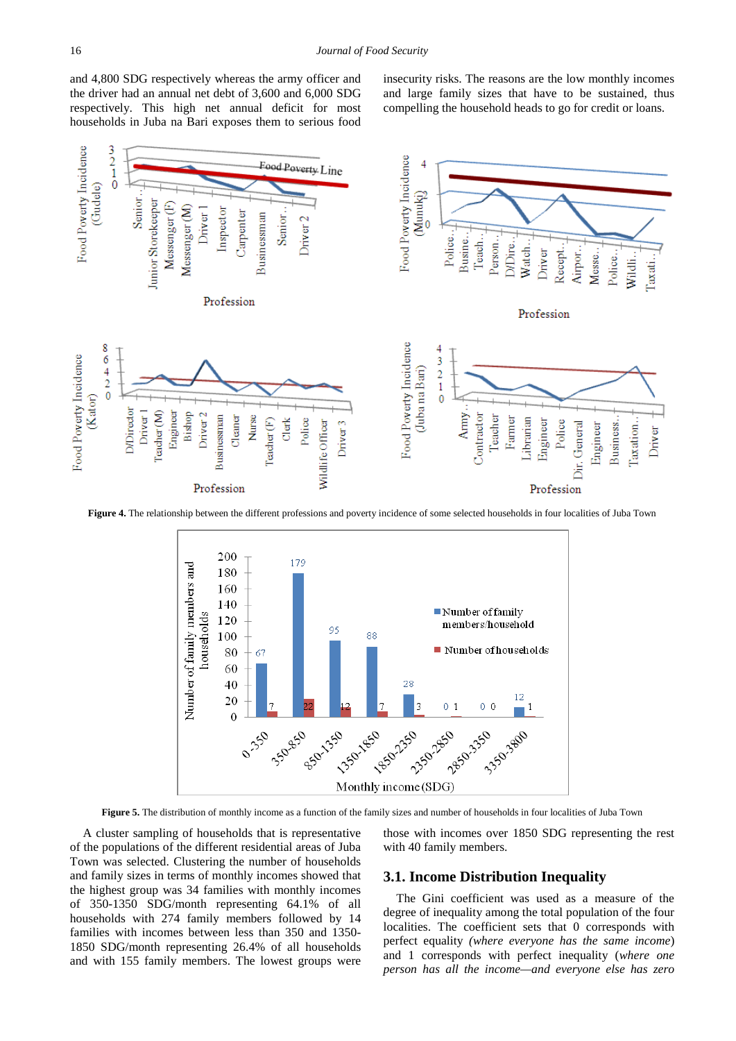and 4,800 SDG respectively whereas the army officer and the driver had an annual net debt of 3,600 and 6,000 SDG respectively. This high net annual deficit for most households in Juba na Bari exposes them to serious food insecurity risks. The reasons are the low monthly incomes and large family sizes that have to be sustained, thus compelling the household heads to go for credit or loans.

<span id="page-5-0"></span>

<span id="page-5-1"></span>**Figure 4.** The relationship between the different professions and poverty incidence of some selected households in four localities of Juba Town



**Figure 5.** The distribution of monthly income as a function of the family sizes and number of households in four localities of Juba Town

A cluster sampling of households that is representative of the populations of the different residential areas of Juba Town was selected. Clustering the number of households and family sizes in terms of monthly incomes showed that the highest group was 34 families with monthly incomes of 350-1350 SDG/month representing 64.1% of all households with 274 family members followed by 14 families with incomes between less than 350 and 1350- 1850 SDG/month representing 26.4% of all households and with 155 family members. The lowest groups were

those with incomes over 1850 SDG representing the rest with 40 family members.

## **3.1. Income Distribution Inequality**

The Gini coefficient was used as a measure of the degree of inequality among the total population of the four localities. The coefficient sets that 0 corresponds with perfect equality *(where everyone has the same income*) and 1 corresponds with perfect inequality (*where one person has all the income—and everyone else has zero*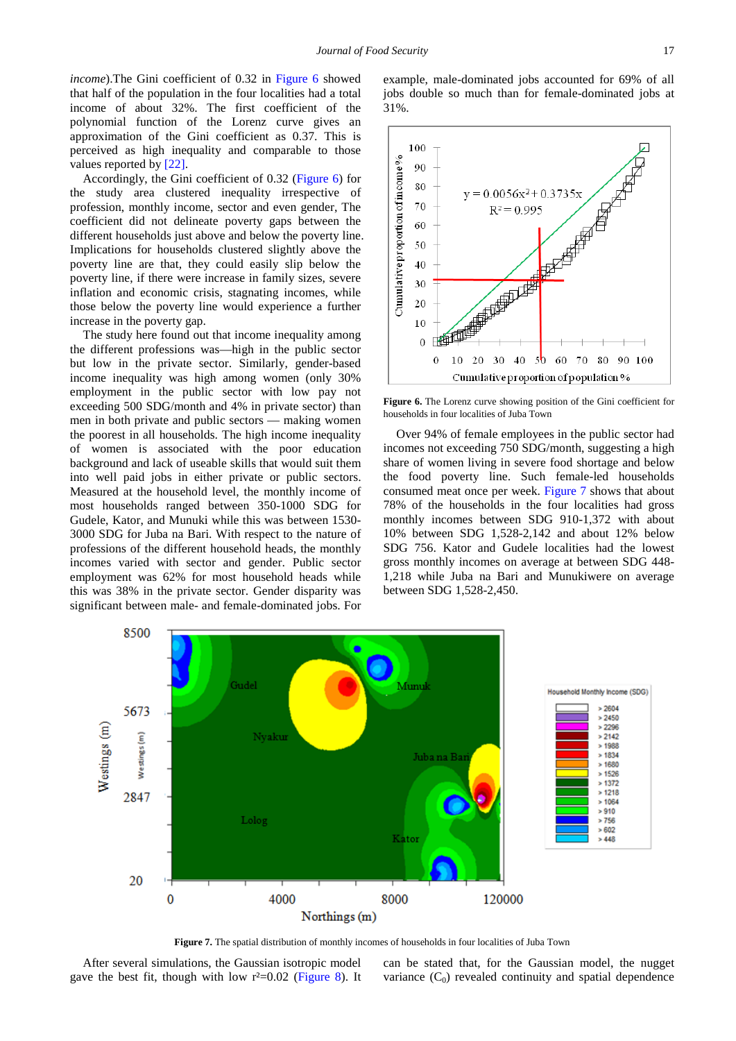*income*).The Gini coefficient of 0.32 in [Figure 6](#page-6-0) showed that half of the population in the four localities had a total income of about 32%. The first coefficient of the polynomial function of the Lorenz curve gives an approximation of the Gini coefficient as 0.37. This is perceived as high inequality and comparable to those values reported by [\[22\].](#page-12-19)

Accordingly, the Gini coefficient of 0.32 [\(Figure 6\)](#page-6-0) for the study area clustered inequality irrespective of profession, monthly income, sector and even gender, The coefficient did not delineate poverty gaps between the different households just above and below the poverty line. Implications for households clustered slightly above the poverty line are that, they could easily slip below the poverty line, if there were increase in family sizes, severe inflation and economic crisis, stagnating incomes, while those below the poverty line would experience a further increase in the poverty gap.

The study here found out that income inequality among the different professions was—high in the public sector but low in the private sector. Similarly, gender-based income inequality was high among women (only 30% employment in the public sector with low pay not exceeding 500 SDG/month and 4% in private sector) than men in both private and public sectors — making women the poorest in all households. The high income inequality of women is associated with the poor education background and lack of useable skills that would suit them into well paid jobs in either private or public sectors. Measured at the household level, the monthly income of most households ranged between 350-1000 SDG for Gudele, Kator, and Munuki while this was between 1530- 3000 SDG for Juba na Bari. With respect to the nature of professions of the different household heads, the monthly incomes varied with sector and gender. Public sector employment was 62% for most household heads while this was 38% in the private sector. Gender disparity was significant between male- and female-dominated jobs. For

example, male-dominated jobs accounted for 69% of all jobs double so much than for female-dominated jobs at 31%.

<span id="page-6-0"></span>

**Figure 6.** The Lorenz curve showing position of the Gini coefficient for households in four localities of Juba Town

Over 94% of female employees in the public sector had incomes not exceeding 750 SDG/month, suggesting a high share of women living in severe food shortage and below the food poverty line. Such female-led households consumed meat once per week. [Figure 7](#page-6-1) shows that about 78% of the households in the four localities had gross monthly incomes between SDG 910-1,372 with about 10% between SDG 1,528-2,142 and about 12% below SDG 756. Kator and Gudele localities had the lowest gross monthly incomes on average at between SDG 448- 1,218 while Juba na Bari and Munukiwere on average between SDG 1,528-2,450.

<span id="page-6-1"></span>

**Figure 7.** The spatial distribution of monthly incomes of households in four localities of Juba Town

After several simulations, the Gaussian isotropic model gave the best fit, though with low  $r^2=0.02$  [\(Figure 8\)](#page-7-0). It can be stated that, for the Gaussian model, the nugget variance  $(C_0)$  revealed continuity and spatial dependence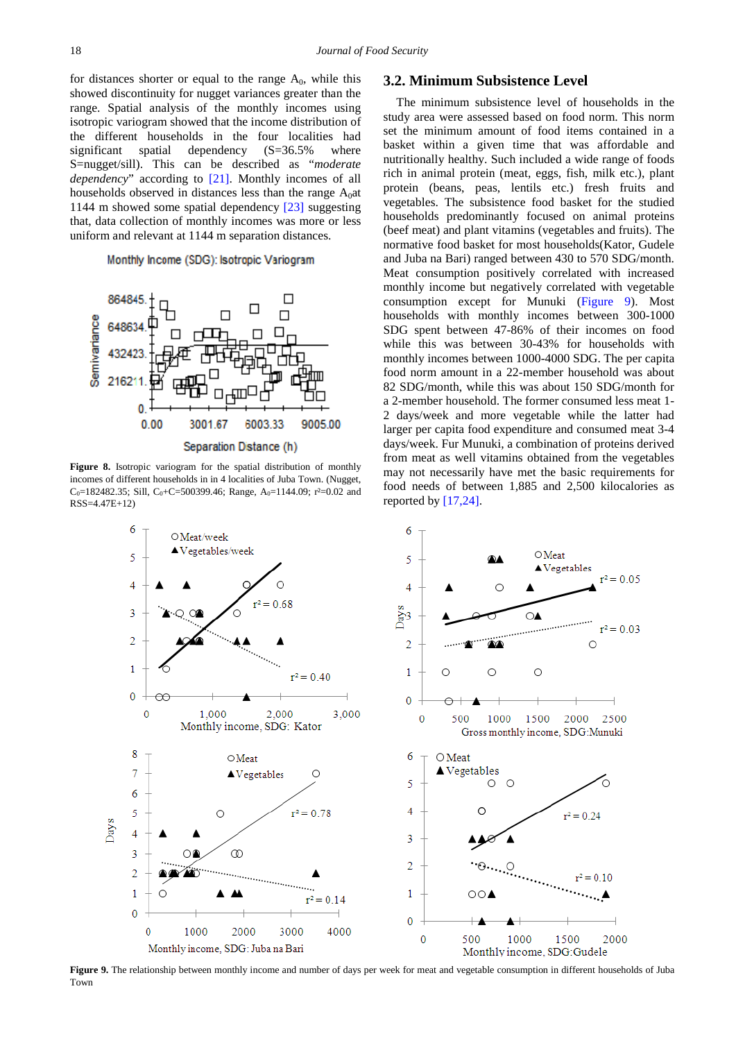for distances shorter or equal to the range  $A_0$ , while this showed discontinuity for nugget variances greater than the range. Spatial analysis of the monthly incomes using isotropic variogram showed that the income distribution of the different households in the four localities had significant spatial dependency (S=36.5% where S=nugget/sill). This can be described as "*moderate dependency*" according to [\[21\].](#page-12-18) Monthly incomes of all households observed in distances less than the range  $A_0$ at 1144 m showed some spatial dependency [\[23\]](#page-12-20) suggesting that, data collection of monthly incomes was more or less uniform and relevant at 1144 m separation distances.

#### Monthly Income (SDG): Isotropic Variogram

<span id="page-7-0"></span>

**Figure 8.** Isotropic variogram for the spatial distribution of monthly incomes of different households in in 4 localities of Juba Town. (Nugget, C<sub>0</sub>=182482.35; Sill, C<sub>0</sub>+C=500399.46; Range, A<sub>0</sub>=1144.09; r<sup>2</sup>=0.02 and RSS=4.47E+12)

<span id="page-7-1"></span>

### **3.2. Minimum Subsistence Level**

The minimum subsistence level of households in the study area were assessed based on food norm. This norm set the minimum amount of food items contained in a basket within a given time that was affordable and nutritionally healthy. Such included a wide range of foods rich in animal protein (meat, eggs, fish, milk etc.), plant protein (beans, peas, lentils etc.) fresh fruits and vegetables. The subsistence food basket for the studied households predominantly focused on animal proteins (beef meat) and plant vitamins (vegetables and fruits). The normative food basket for most households(Kator, Gudele and Juba na Bari) ranged between 430 to 570 SDG/month. Meat consumption positively correlated with increased monthly income but negatively correlated with vegetable consumption except for Munuki [\(Figure 9\)](#page-7-1). Most households with monthly incomes between 300-1000 SDG spent between 47-86% of their incomes on food while this was between 30-43% for households with monthly incomes between 1000-4000 SDG. The per capita food norm amount in a 22-member household was about 82 SDG/month, while this was about 150 SDG/month for a 2-member household. The former consumed less meat 1- 2 days/week and more vegetable while the latter had larger per capita food expenditure and consumed meat 3-4 days/week. Fur Munuki, a combination of proteins derived from meat as well vitamins obtained from the vegetables may not necessarily have met the basic requirements for food needs of between 1,885 and 2,500 kilocalories as reported b[y \[17,24\].](#page-12-21)



**Figure 9.** The relationship between monthly income and number of days per week for meat and vegetable consumption in different households of Juba Town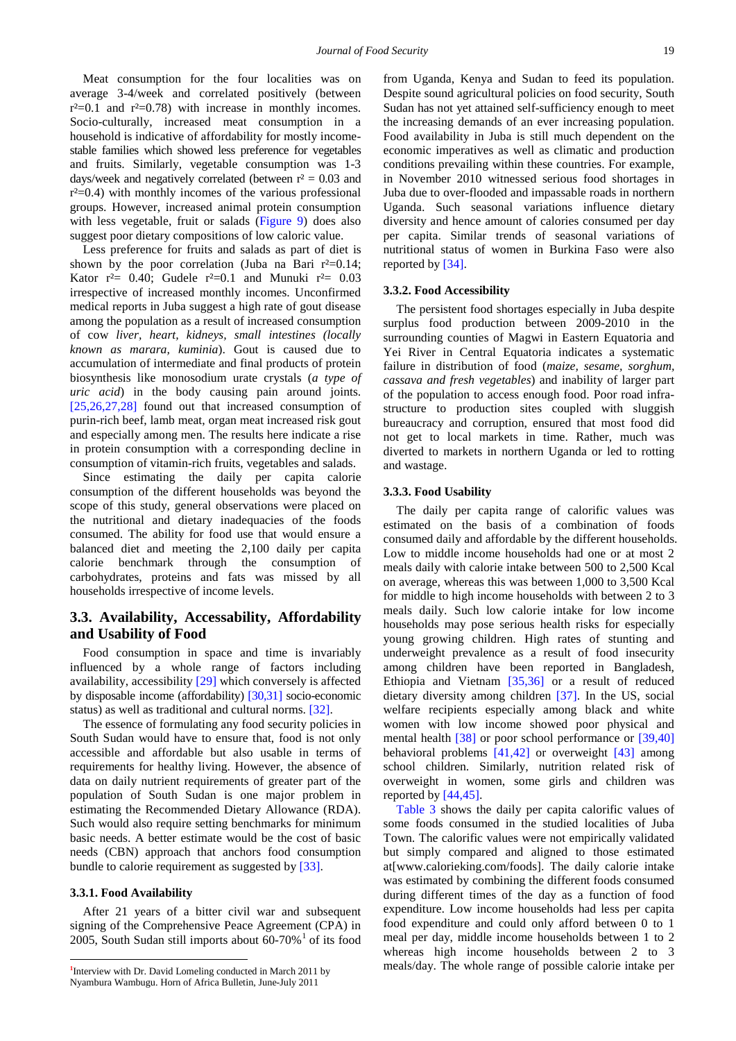Meat consumption for the four localities was on average 3-4/week and correlated positively (between  $r^2=0.1$  and  $r^2=0.78$ ) with increase in monthly incomes. Socio-culturally, increased meat consumption in a household is indicative of affordability for mostly incomestable families which showed less preference for vegetables and fruits. Similarly, vegetable consumption was 1-3 days/week and negatively correlated (between  $r^2 = 0.03$  and  $r^2=0.4$ ) with monthly incomes of the various professional groups. However, increased animal protein consumption with less vegetable, fruit or salads [\(Figure 9\)](#page-7-1) does also suggest poor dietary compositions of low caloric value.

Less preference for fruits and salads as part of diet is shown by the poor correlation (Juba na Bari  $r^2=0.14$ ; Kator  $r^2$  = 0.40; Gudele  $r^2$  = 0.1 and Munuki  $r^2$  = 0.03 irrespective of increased monthly incomes. Unconfirmed medical reports in Juba suggest a high rate of gout disease among the population as a result of increased consumption of cow *liver, heart, kidneys, small intestines (locally known as marara, kuminia*). Gout is caused due to accumulation of intermediate and final products of protein biosynthesis like monosodium urate crystals (*a type of uric acid*) in the body causing pain around joints. [\[25,26,27,28\]](#page-12-22) found out that increased consumption of purin-rich beef, lamb meat, organ meat increased risk gout and especially among men. The results here indicate a rise in protein consumption with a corresponding decline in consumption of vitamin-rich fruits, vegetables and salads.

Since estimating the daily per capita calorie consumption of the different households was beyond the scope of this study, general observations were placed on the nutritional and dietary inadequacies of the foods consumed. The ability for food use that would ensure a balanced diet and meeting the 2,100 daily per capita calorie benchmark through the consumption of carbohydrates, proteins and fats was missed by all households irrespective of income levels.

## **3.3. Availability, Accessability, Affordability and Usability of Food**

Food consumption in space and time is invariably influenced by a whole range of factors including availability, accessibility [\[29\]](#page-12-23) which conversely is affected by disposable income (affordability) [\[30,31\]](#page-12-24) socio-economic status) as well as traditional and cultural norms. [\[32\].](#page-12-25)

The essence of formulating any food security policies in South Sudan would have to ensure that, food is not only accessible and affordable but also usable in terms of requirements for healthy living. However, the absence of data on daily nutrient requirements of greater part of the population of South Sudan is one major problem in estimating the Recommended Dietary Allowance (RDA). Such would also require setting benchmarks for minimum basic needs. A better estimate would be the cost of basic needs (CBN) approach that anchors food consumption bundle to calorie requirement as suggested by [\[33\].](#page-12-26)

### **3.3.1. Food Availability**

.

After 21 years of a bitter civil war and subsequent signing of the Comprehensive Peace Agreement (CPA) in 2005, South Sudan still imports about  $60-70\%$ <sup>[1](#page-8-0)</sup> of its food from Uganda, Kenya and Sudan to feed its population. Despite sound agricultural policies on food security, South Sudan has not yet attained self-sufficiency enough to meet the increasing demands of an ever increasing population. Food availability in Juba is still much dependent on the economic imperatives as well as climatic and production conditions prevailing within these countries. For example, in November 2010 witnessed serious food shortages in Juba due to over-flooded and impassable roads in northern Uganda. Such seasonal variations influence dietary diversity and hence amount of calories consumed per day per capita. Similar trends of seasonal variations of nutritional status of women in Burkina Faso were also reported b[y \[34\].](#page-12-27)

## **3.3.2. Food Accessibility**

The persistent food shortages especially in Juba despite surplus food production between 2009-2010 in the surrounding counties of Magwi in Eastern Equatoria and Yei River in Central Equatoria indicates a systematic failure in distribution of food (*maize, sesame, sorghum, cassava and fresh vegetables*) and inability of larger part of the population to access enough food. Poor road infrastructure to production sites coupled with sluggish bureaucracy and corruption, ensured that most food did not get to local markets in time. Rather, much was diverted to markets in northern Uganda or led to rotting and wastage.

## **3.3.3. Food Usability**

The daily per capita range of calorific values was estimated on the basis of a combination of foods consumed daily and affordable by the different households. Low to middle income households had one or at most 2 meals daily with calorie intake between 500 to 2,500 Kcal on average, whereas this was between 1,000 to 3,500 Kcal for middle to high income households with between 2 to 3 meals daily. Such low calorie intake for low income households may pose serious health risks for especially young growing children. High rates of stunting and underweight prevalence as a result of food insecurity among children have been reported in Bangladesh, Ethiopia and Vietnam [\[35,36\]](#page-12-28) or a result of reduced dietary diversity among children [\[37\].](#page-12-29) In the US, social welfare recipients especially among black and white women with low income showed poor physical and mental health [\[38\]](#page-12-30) or poor school performance or [\[39,40\]](#page-12-31) behavioral problems [\[41,42\]](#page-13-0) or overweight [\[43\]](#page-13-1) among school children. Similarly, nutrition related risk of overweight in women, some girls and children was reported b[y \[44,45\].](#page-13-2)

[Table 3](#page-9-0) shows the daily per capita calorific values of some foods consumed in the studied localities of Juba Town. The calorific values were not empirically validated but simply compared and aligned to those estimated at[www.calorieking.com/foods]. The daily calorie intake was estimated by combining the different foods consumed during different times of the day as a function of food expenditure. Low income households had less per capita food expenditure and could only afford between 0 to 1 meal per day, middle income households between 1 to 2 whereas high income households between 2 to 3 meals/day. The whole range of possible calorie intake per

<span id="page-8-0"></span><sup>&</sup>lt;sup>1</sup>Interview with Dr. David Lomeling conducted in March 2011 by Nyambura Wambugu. Horn of Africa Bulletin, June-July 2011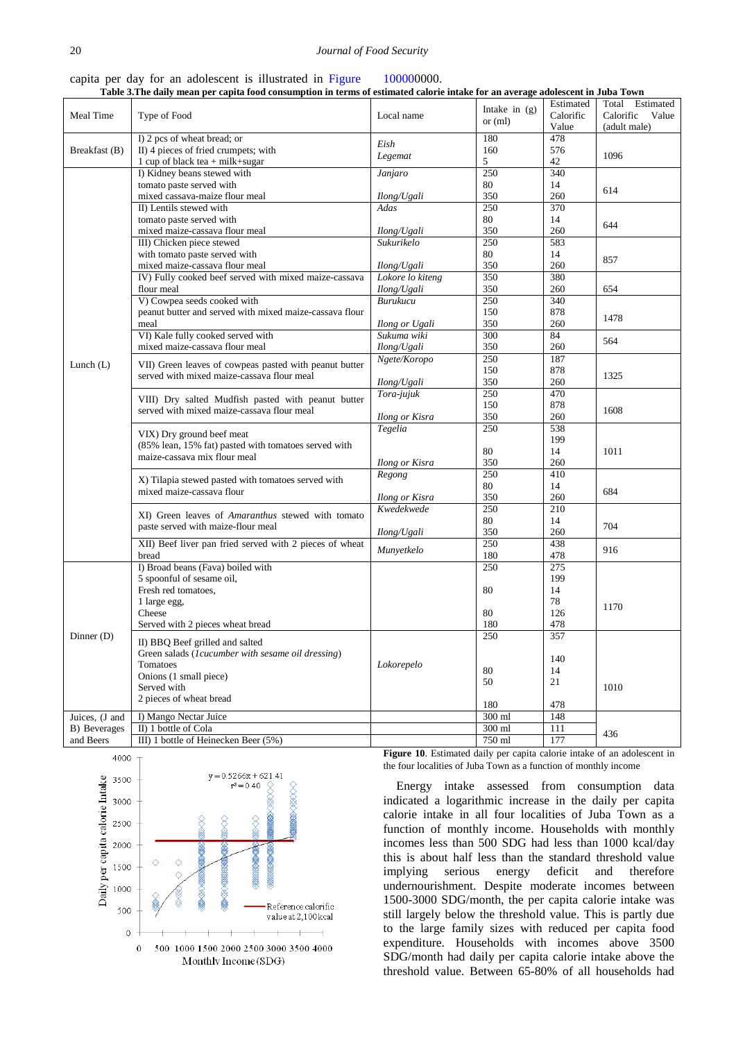|  |  |  | capita per day for an adolescent is illustrated in Figure |  |  | 100000000. |  |
|--|--|--|-----------------------------------------------------------|--|--|------------|--|
|  |  |  |                                                           |  |  |            |  |

| Table 3. The daily mean per capita food consumption in terms of estimated calorie intake for an average adolescent in Juba Town |  |
|---------------------------------------------------------------------------------------------------------------------------------|--|
|---------------------------------------------------------------------------------------------------------------------------------|--|

<span id="page-9-0"></span>

|                | стане анну писан рег сарта тоом сополнирной ни сегию от соннанса саютте нимке гот ан атегиде |                       |                 | Estimated | $\mathbf{a}$ orescent in o aba $\mathbf{a}$ ro $\mathbf{m}$<br>Total Estimated |  |  |
|----------------|----------------------------------------------------------------------------------------------|-----------------------|-----------------|-----------|--------------------------------------------------------------------------------|--|--|
|                |                                                                                              |                       | Intake in $(g)$ |           |                                                                                |  |  |
| Meal Time      | Type of Food                                                                                 | Local name            | or $(ml)$       | Calorific | Calorific<br>Value                                                             |  |  |
|                |                                                                                              |                       |                 | Value     | (adult male)                                                                   |  |  |
|                | I) 2 pcs of wheat bread; or                                                                  |                       | 180             | 478       |                                                                                |  |  |
| Breakfast (B)  | II) 4 pieces of fried crumpets; with                                                         | Eish                  | 160             | 576       |                                                                                |  |  |
|                | 1 cup of black tea + milk+sugar                                                              | Legemat               | 5               | 42        | 1096                                                                           |  |  |
|                |                                                                                              |                       |                 |           |                                                                                |  |  |
|                | I) Kidney beans stewed with                                                                  | Janjaro               | 250             | 340       |                                                                                |  |  |
|                | tomato paste served with                                                                     |                       | 80              | 14        | 614                                                                            |  |  |
|                | mixed cassava-maize flour meal                                                               | Ilong/Ugali           | 350             | 260       |                                                                                |  |  |
|                | II) Lentils stewed with                                                                      | Adas                  | 250             | 370       |                                                                                |  |  |
|                | tomato paste served with                                                                     |                       | 80              | 14        |                                                                                |  |  |
|                | mixed maize-cassava flour meal                                                               | Ilong/Ugali           | 350             | 260       | 644                                                                            |  |  |
|                |                                                                                              |                       |                 |           |                                                                                |  |  |
|                | III) Chicken piece stewed                                                                    | Sukurikelo            | 250             | 583       |                                                                                |  |  |
|                | with tomato paste served with                                                                |                       | 80              | 14        | 857                                                                            |  |  |
|                | mixed maize-cassava flour meal                                                               | Ilong/Ugali           | 350             | 260       |                                                                                |  |  |
|                | IV) Fully cooked beef served with mixed maize-cassava                                        | Lokore lo kiteng      | 350             | 380       |                                                                                |  |  |
|                | flour meal                                                                                   | Ilong/Ugali           | 350             | 260       | 654                                                                            |  |  |
|                | V) Cowpea seeds cooked with                                                                  |                       | 250             | 340       |                                                                                |  |  |
|                |                                                                                              | Burukucu              |                 | 878       |                                                                                |  |  |
|                | peanut butter and served with mixed maize-cassava flour                                      |                       | 150             |           | 1478                                                                           |  |  |
|                | meal                                                                                         | Ilong or Ugali        | 350             | 260       |                                                                                |  |  |
|                | VI) Kale fully cooked served with                                                            | Sukuma wiki           | 300             | 84        |                                                                                |  |  |
|                | mixed maize-cassava flour meal                                                               | Ilong/Ugali           | 350             | 260       | 564                                                                            |  |  |
|                |                                                                                              | Ngete/Koropo          | 250             | 187       |                                                                                |  |  |
| Lunch $(L)$    | VII) Green leaves of cowpeas pasted with peanut butter                                       |                       |                 |           |                                                                                |  |  |
|                | served with mixed maize-cassava flour meal                                                   |                       | 150             | 878       | 1325                                                                           |  |  |
|                |                                                                                              | Ilong/Ugali           | 350             | 260       |                                                                                |  |  |
|                | VIII) Dry salted Mudfish pasted with peanut butter                                           | Tora-jujuk            | 250             | 470       |                                                                                |  |  |
|                |                                                                                              |                       | 150             | 878       |                                                                                |  |  |
|                | served with mixed maize-cassava flour meal                                                   | Ilong or Kisra        | 350             | 260       | 1608                                                                           |  |  |
|                |                                                                                              | Tegelia               | 250             | 538       |                                                                                |  |  |
|                | VIX) Dry ground beef meat                                                                    |                       |                 |           |                                                                                |  |  |
|                | (85% lean, 15% fat) pasted with tomatoes served with                                         |                       |                 | 199       |                                                                                |  |  |
|                | maize-cassava mix flour meal                                                                 |                       | 80              | 14        | 1011                                                                           |  |  |
|                |                                                                                              | <b>Ilong or Kisra</b> | 350             | 260       |                                                                                |  |  |
|                |                                                                                              | Regong                | 250             | 410       |                                                                                |  |  |
|                | X) Tilapia stewed pasted with tomatoes served with                                           |                       | 80              | 14        |                                                                                |  |  |
|                | mixed maize-cassava flour                                                                    | <b>Ilong or Kisra</b> | 350             | 260       | 684                                                                            |  |  |
|                |                                                                                              |                       |                 |           |                                                                                |  |  |
|                | XI) Green leaves of <i>Amaranthus</i> stewed with tomato                                     | Kwedekwede            | 250             | 210       |                                                                                |  |  |
|                | paste served with maize-flour meal                                                           |                       | 80              | 14        | 704                                                                            |  |  |
|                |                                                                                              | Ilong/Ugali           | 350             | 260       |                                                                                |  |  |
|                | XII) Beef liver pan fried served with 2 pieces of wheat                                      |                       | 250             | 438       | 916                                                                            |  |  |
|                | bread                                                                                        | Munyetkelo            | 180             | 478       |                                                                                |  |  |
|                | I) Broad beans (Fava) boiled with                                                            |                       | 250             | 275       |                                                                                |  |  |
|                |                                                                                              |                       |                 |           |                                                                                |  |  |
|                | 5 spoonful of sesame oil,                                                                    |                       |                 | 199       |                                                                                |  |  |
|                | Fresh red tomatoes,                                                                          |                       | 80              | 14        |                                                                                |  |  |
| Dinner (D)     | 1 large egg,                                                                                 |                       |                 | 78        | 1170                                                                           |  |  |
|                | Cheese                                                                                       |                       | 80              | 126       |                                                                                |  |  |
|                | Served with 2 pieces wheat bread                                                             |                       | 180             | 478       |                                                                                |  |  |
|                |                                                                                              |                       | 250             | 357       |                                                                                |  |  |
|                | II) BBQ Beef grilled and salted                                                              |                       |                 |           |                                                                                |  |  |
|                | Green salads (1cucumber with sesame oil dressing)                                            |                       |                 |           |                                                                                |  |  |
|                | Tomatoes                                                                                     | Lokorepelo            |                 | 140       |                                                                                |  |  |
|                | Onions (1 small piece)                                                                       |                       | 80              | 14        |                                                                                |  |  |
|                | Served with                                                                                  |                       | 50              | 21        | 1010                                                                           |  |  |
|                |                                                                                              |                       |                 |           |                                                                                |  |  |
|                | 2 pieces of wheat bread                                                                      |                       | 180             | 478       |                                                                                |  |  |
| Juices, (J and | I) Mango Nectar Juice                                                                        |                       | 300 ml          | 148       |                                                                                |  |  |
|                | II) 1 bottle of Cola                                                                         |                       |                 |           |                                                                                |  |  |
| B) Beverages   |                                                                                              |                       | 300 ml          | 111       | 436                                                                            |  |  |
| and Beers      | III) 1 bottle of Heinecken Beer (5%)                                                         |                       | 750 ml          | 177       |                                                                                |  |  |



**Figure 10**. Estimated daily per capita calorie intake of an adolescent in the four localities of Juba Town as a function of monthly income

Energy intake assessed from consumption data indicated a logarithmic increase in the daily per capita calorie intake in all four localities of Juba Town as a function of monthly income. Households with monthly incomes less than 500 SDG had less than 1000 kcal/day this is about half less than the standard threshold value implying serious energy deficit and therefore undernourishment. Despite moderate incomes between 1500-3000 SDG/month, the per capita calorie intake was still largely below the threshold value. This is partly due to the large family sizes with reduced per capita food expenditure. Households with incomes above 3500 SDG/month had daily per capita calorie intake above the threshold value. Between 65-80% of all households had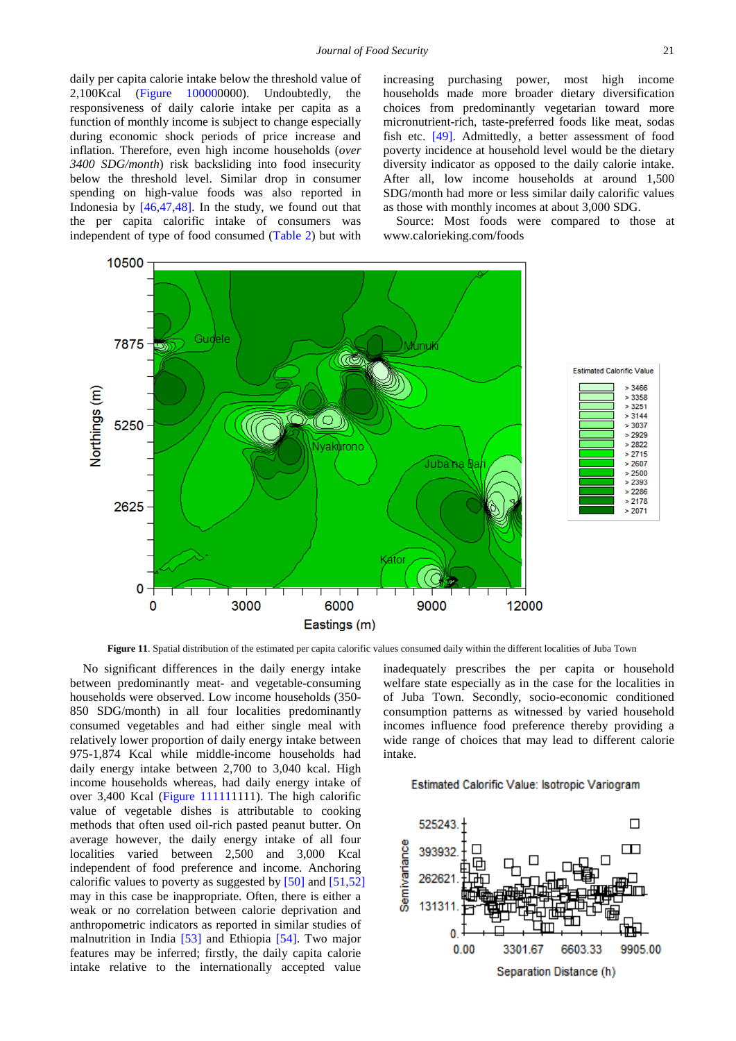daily per capita calorie intake below the threshold value of 2,100Kcal (Figure 100000000). Undoubtedly, the responsiveness of daily calorie intake per capita as a function of monthly income is subject to change especially during economic shock periods of price increase and inflation. Therefore, even high income households (*over 3400 SDG/month*) risk backsliding into food insecurity below the threshold level. Similar drop in consumer spending on high-value foods was also reported in Indonesia by [\[46,47,48\].](#page-13-3) In the study, we found out that the per capita calorific intake of consumers was independent of type of food consumed [\(Table 2\)](#page-2-1) but with

increasing purchasing power, most high income households made more broader dietary diversification choices from predominantly vegetarian toward more micronutrient-rich, taste-preferred foods like meat, sodas fish etc. [\[49\].](#page-13-4) Admittedly, a better assessment of food poverty incidence at household level would be the dietary diversity indicator as opposed to the daily calorie intake. After all, low income households at around 1,500 SDG/month had more or less similar daily calorific values as those with monthly incomes at about 3,000 SDG.

Source: Most foods were compared to those at www.calorieking.com/foods



**Figure 11**. Spatial distribution of the estimated per capita calorific values consumed daily within the different localities of Juba Town

No significant differences in the daily energy intake between predominantly meat- and vegetable-consuming households were observed. Low income households (350- 850 SDG/month) in all four localities predominantly consumed vegetables and had either single meal with relatively lower proportion of daily energy intake between 975-1,874 Kcal while middle-income households had daily energy intake between 2,700 to 3,040 kcal. High income households whereas, had daily energy intake of over 3,400 Kcal (Figure 111111111). The high calorific value of vegetable dishes is attributable to cooking methods that often used oil-rich pasted peanut butter. On average however, the daily energy intake of all four localities varied between 2,500 and 3,000 Kcal independent of food preference and income. Anchoring calorific values to poverty as suggested by [\[50\]](#page-13-5) and [\[51,52\]](#page-13-6) may in this case be inappropriate. Often, there is either a weak or no correlation between calorie deprivation and anthropometric indicators as reported in similar studies of malnutrition in India [\[53\]](#page-13-7) and Ethiopia [\[54\].](#page-13-8) Two major features may be inferred; firstly, the daily capita calorie intake relative to the internationally accepted value

inadequately prescribes the per capita or household welfare state especially as in the case for the localities in of Juba Town. Secondly, socio-economic conditioned consumption patterns as witnessed by varied household incomes influence food preference thereby providing a wide range of choices that may lead to different calorie intake.

#### Estimated Calorific Value: Isotropic Variogram

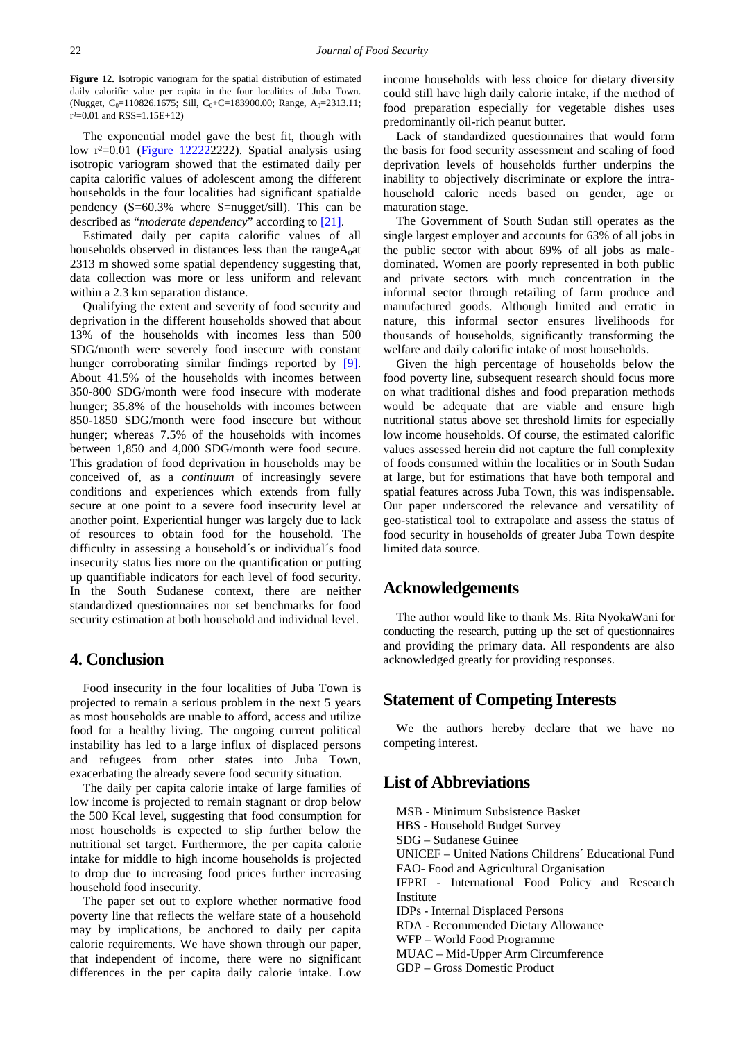**Figure 12.** Isotropic variogram for the spatial distribution of estimated daily calorific value per capita in the four localities of Juba Town. (Nugget, C<sub>0</sub>=110826.1675; Sill, C<sub>0</sub>+C=183900.00; Range, A<sub>0</sub>=2313.11;  $r^2=0.01$  and RSS=1.15E+12)

The exponential model gave the best fit, though with low r²=0.01 (Figure 122222222). Spatial analysis using isotropic variogram showed that the estimated daily per capita calorific values of adolescent among the different households in the four localities had significant spatialde pendency (S=60.3% where S=nugget/sill). This can be described as "*moderate dependency*" according to [\[21\].](#page-12-18)

Estimated daily per capita calorific values of all households observed in distances less than the range $A_0$ at 2313 m showed some spatial dependency suggesting that, data collection was more or less uniform and relevant within a 2.3 km separation distance.

Qualifying the extent and severity of food security and deprivation in the different households showed that about 13% of the households with incomes less than 500 SDG/month were severely food insecure with constant hunger corroborating similar findings reported by [\[9\].](#page-12-7) About 41.5% of the households with incomes between 350-800 SDG/month were food insecure with moderate hunger; 35.8% of the households with incomes between 850-1850 SDG/month were food insecure but without hunger; whereas 7.5% of the households with incomes between 1,850 and 4,000 SDG/month were food secure. This gradation of food deprivation in households may be conceived of, as a *continuum* of increasingly severe conditions and experiences which extends from fully secure at one point to a severe food insecurity level at another point. Experiential hunger was largely due to lack of resources to obtain food for the household. The difficulty in assessing a household´s or individual´s food insecurity status lies more on the quantification or putting up quantifiable indicators for each level of food security. In the South Sudanese context, there are neither standardized questionnaires nor set benchmarks for food security estimation at both household and individual level.

# **4. Conclusion**

Food insecurity in the four localities of Juba Town is projected to remain a serious problem in the next 5 years as most households are unable to afford, access and utilize food for a healthy living. The ongoing current political instability has led to a large influx of displaced persons and refugees from other states into Juba Town, exacerbating the already severe food security situation.

The daily per capita calorie intake of large families of low income is projected to remain stagnant or drop below the 500 Kcal level, suggesting that food consumption for most households is expected to slip further below the nutritional set target. Furthermore, the per capita calorie intake for middle to high income households is projected to drop due to increasing food prices further increasing household food insecurity.

The paper set out to explore whether normative food poverty line that reflects the welfare state of a household may by implications, be anchored to daily per capita calorie requirements. We have shown through our paper, that independent of income, there were no significant differences in the per capita daily calorie intake. Low income households with less choice for dietary diversity could still have high daily calorie intake, if the method of food preparation especially for vegetable dishes uses predominantly oil-rich peanut butter.

Lack of standardized questionnaires that would form the basis for food security assessment and scaling of food deprivation levels of households further underpins the inability to objectively discriminate or explore the intrahousehold caloric needs based on gender, age or maturation stage.

The Government of South Sudan still operates as the single largest employer and accounts for 63% of all jobs in the public sector with about 69% of all jobs as maledominated. Women are poorly represented in both public and private sectors with much concentration in the informal sector through retailing of farm produce and manufactured goods. Although limited and erratic in nature, this informal sector ensures livelihoods for thousands of households, significantly transforming the welfare and daily calorific intake of most households.

Given the high percentage of households below the food poverty line, subsequent research should focus more on what traditional dishes and food preparation methods would be adequate that are viable and ensure high nutritional status above set threshold limits for especially low income households. Of course, the estimated calorific values assessed herein did not capture the full complexity of foods consumed within the localities or in South Sudan at large, but for estimations that have both temporal and spatial features across Juba Town, this was indispensable. Our paper underscored the relevance and versatility of geo-statistical tool to extrapolate and assess the status of food security in households of greater Juba Town despite limited data source.

# **Acknowledgements**

The author would like to thank Ms. Rita NyokaWani for conducting the research, putting up the set of questionnaires and providing the primary data. All respondents are also acknowledged greatly for providing responses.

# **Statement of Competing Interests**

We the authors hereby declare that we have no competing interest.

# **List of Abbreviations**

MSB - Minimum Subsistence Basket HBS - Household Budget Survey SDG – Sudanese Guinee UNICEF – United Nations Childrens´ Educational Fund FAO- Food and Agricultural Organisation IFPRI - International Food Policy and Research Institute IDPs - Internal Displaced Persons RDA - Recommended Dietary Allowance WFP – World Food Programme MUAC – Mid-Upper Arm Circumference GDP – Gross Domestic Product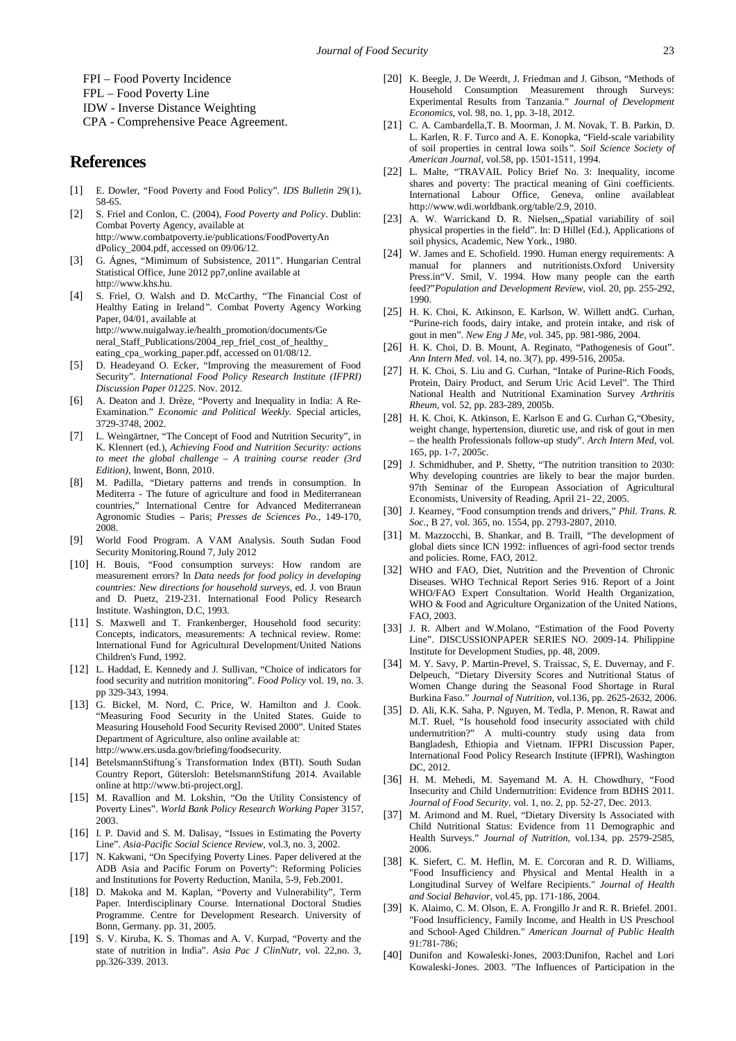FPI – Food Poverty Incidence

FPL – Food Poverty Line

IDW - Inverse Distance Weighting

CPA - Comprehensive Peace Agreement.

# **References**

- <span id="page-12-0"></span>[1] E. Dowler, "Food Poverty and Food Policy". *IDS Bulletin* 29(1), 58-65.
- [2] S. Friel and Conlon, C. (2004), *Food Poverty and Policy*. Dublin: Combat Poverty Agency, available at http://www.combatpoverty.ie/publications/FoodPovertyAn dPolicy\_2004.pdf, accessed on 09/06/12.
- <span id="page-12-1"></span>[3] G. Ágnes, "Mimimum of Subsistence, 2011". Hungarian Central Statistical Office, June 2012 pp7,online available at http://www.khs.hu.
- <span id="page-12-2"></span>[4] S. Friel, O. Walsh and D. McCarthy, "The Financial Cost of Healthy Eating in Ireland*".* Combat Poverty Agency Working Paper, 04/01, available at http://www.nuigalway.ie/health\_promotion/documents/Ge neral\_Staff\_Publications/2004\_rep\_friel\_cost\_of\_healthy\_ eating\_cpa\_working\_paper.pdf, accessed on 01/08/12.
- <span id="page-12-3"></span>[5] D. Headeyand O. Ecker, "Improving the measurement of Food Security". *International Food Policy Research Institute (IFPRI) Discussion Paper 01225*. Nov. 2012.
- <span id="page-12-4"></span>[6] A. Deaton and J. Drèze, "Poverty and Inequality in India: A Re-Examination." *Economic and Political Weekly.* Special articles, 3729-3748, 2002.
- <span id="page-12-5"></span>[7] L. Weingärtner, "The Concept of Food and Nutrition Security", in K. Klennert (ed.), *Achieving Food and Nutrition Security: actions to meet the global challenge – A training course reader (3rd Edition)*, Inwent, Bonn, 2010.
- <span id="page-12-6"></span>[8] M. Padilla, "Dietary patterns and trends in consumption. In Mediterra - The future of agriculture and food in Mediterranean countries," International Centre for Advanced Mediterranean Agronomic Studies – Paris; *Presses de Sciences Po.*, 149-170, 2008.
- <span id="page-12-7"></span>[9] World Food Program. A VAM Analysis. South Sudan Food Security Monitoring.Round 7, July 2012
- <span id="page-12-8"></span>[10] H. Bouis, "Food consumption surveys: How random are measurement errors? In *Data needs for food policy in developing countries: New directions for household surveys*, ed. J. von Braun and D. Puetz, 219-231. International Food Policy Research Institute. Washington, D.C, 1993.
- <span id="page-12-9"></span>[11] S. Maxwell and T. Frankenberger, Household food security: Concepts, indicators, measurements: A technical review. Rome: International Fund for Agricultural Development/United Nations Children's Fund, 1992.
- <span id="page-12-10"></span>[12] L. Haddad, E. Kennedy and J. Sullivan, "Choice of indicators for food security and nutrition monitoring". *Food Policy* vol. 19, no. 3. pp 329-343, 1994.
- <span id="page-12-11"></span>[13] G. Bickel, M. Nord, C. Price, W. Hamilton and J. Cook. "Measuring Food Security in the United States. Guide to Measuring Household Food Security Revised 2000". United States Department of Agriculture, also online available at: http://www.ers.usda.gov/briefing/foodsecurity.
- <span id="page-12-12"></span>[14] BetelsmannStiftung´s Transformation Index (BTI). South Sudan Country Report, Gütersloh: BetelsmannStifung 2014. Available online at http://www.bti-project.org].
- <span id="page-12-13"></span>[15] M. Ravallion and M. Lokshin, "On the Utility Consistency of Poverty Lines". *World Bank Policy Research Working Paper* 3157, 2003.
- <span id="page-12-14"></span>[16] I. P. David and S. M. Dalisay, "Issues in Estimating the Poverty Line". *Asia-Pacific Social Science Review*, vol.3, no. 3, 2002.
- <span id="page-12-21"></span>[17] N. Kakwani, "On Specifying Poverty Lines. Paper delivered at the ADB Asia and Pacific Forum on Poverty": Reforming Policies and Institutions for Poverty Reduction, Manila, 5-9, Feb.2001.
- <span id="page-12-15"></span>[18] D. Makoka and M. Kaplan, "Poverty and Vulnerability", Term Paper. Interdisciplinary Course. International Doctoral Studies Programme. Centre for Development Research. University of Bonn, Germany. pp. 31, 2005.
- <span id="page-12-16"></span>[19] S. V. Kiruba, K. S. Thomas and A. V. Kurpad, "Poverty and the state of nutrition in India". *Asia Pac J ClinNutr,* vol. 22,no. 3, pp.326-339. 2013.
- <span id="page-12-17"></span>[20] K. Beegle, J. De Weerdt, J. Friedman and J. Gibson, "Methods of Household Consumption Measurement through Surveys: Experimental Results from Tanzania." *Journal of Development Economics,* vol. 98, no. 1, pp. 3-18, 2012.
- <span id="page-12-18"></span>[21] C. A. Cambardella,T. B. Moorman, J. M. Novak, T. B. Parkin, D. L. Karlen, R. F. Turco and A. E. Konopka, "Field-scale variability of soil properties in central Iowa soils*". Soil Science Society of American Journal,* vol.58, pp. 1501-1511, 1994.
- <span id="page-12-19"></span>[22] L. Malte, "TRAVAIL Policy Brief No. 3: Inequality, income shares and poverty: The practical meaning of Gini coefficients. International Labour Office, Geneva, online availableat http://www.wdi.worldbank.org/table/2.9, 2010.
- <span id="page-12-20"></span>[23] A. W. Warrickand D. R. Nielsen, Spatial variability of soil physical properties in the field". In: D Hillel (Ed.), Applications of soil physics, Academic, New York., 1980.
- [24] W. James and E. Schofield. 1990. Human energy requirements: A manual for planners and nutritionists.Oxford University Press.in"V. Smil, V. 1994. How many people can the earth feed?"*Population and Development Review,* viol. 20, pp. 255-292, 1990.
- <span id="page-12-22"></span>[25] H. K. Choi, K. Atkinson, E. Karlson, W. Willett andG. Curhan, "Purine-rich foods, dairy intake, and protein intake, and risk of gout in men". *New Eng J Me, v*ol. 345, pp. 981-986, 2004.
- [26] H. K. Choi, D. B. Mount, A. Reginato, "Pathogenesis of Gout". *Ann Intern Med.* vol. 14, no. 3(7), pp. 499-516, 2005a.
- [27] H. K. Choi, S. Liu and G. Curhan, "Intake of Purine-Rich Foods, Protein, Dairy Product, and Serum Uric Acid Level". The Third National Health and Nutritional Examination Survey *Arthritis Rheum,* vol. 52, pp. 283-289, 2005b.
- [28] H. K. Choi, K. Atkinson, E. Karlson E and G. Curhan G,"Obesity, weight change, hypertension, diuretic use, and risk of gout in men – the health Professionals follow-up study". *Arch Intern Med*, vol. 165, pp. 1-7, 2005c.
- <span id="page-12-23"></span>[29] J. Schmidhuber, and P. Shetty, "The nutrition transition to 2030: Why developing countries are likely to bear the major burden. 97th Seminar of the European Association of Agricultural Economists, University of Reading, April 21- 22, 2005.
- <span id="page-12-24"></span>[30] J. Kearney, "Food consumption trends and drivers," *Phil. Trans. R. Soc.*, B 27, vol. 365, no. 1554, pp. 2793-2807, 2010.
- [31] M. Mazzocchi, B. Shankar, and B. Traill, "The development of global diets since ICN 1992: influences of agri-food sector trends and policies. Rome, FAO, 2012.
- <span id="page-12-25"></span>[32] WHO and FAO, Diet, Nutrition and the Prevention of Chronic Diseases. WHO Technical Report Series 916. Report of a Joint WHO/FAO Expert Consultation. World Health Organization, WHO & Food and Agriculture Organization of the United Nations, FAO, 2003.
- <span id="page-12-26"></span>[33] J. R. Albert and W.Molano, "Estimation of the Food Poverty Line". DISCUSSIONPAPER SERIES NO. 2009-14. Philippine Institute for Development Studies, pp. 48, 2009.
- <span id="page-12-27"></span>[34] M. Y. Savy, P. Martin-Prevel, S. Traissac, S, E. Duvernay, and F. Delpeuch, "Dietary Diversity Scores and Nutritional Status of Women Change during the Seasonal Food Shortage in Rural Burkina Faso." *Journal of Nutrition,* vol.136, pp. 2625-2632, 2006.
- <span id="page-12-28"></span>[35] D. Ali, K.K. Saha, P. Nguyen, M. Tedla, P. Menon, R. Rawat and M.T. Ruel, "Is household food insecurity associated with child undernutrition?" A multi-country study using data from Bangladesh, Ethiopia and Vietnam. IFPRI Discussion Paper, International Food Policy Research Institute (IFPRI), Washington DC, 2012.
- [36] H. M. Mehedi, M. Sayemand M. A. H. Chowdhury, "Food Insecurity and Child Undernutrition: Evidence from BDHS 2011. *Journal of Food Security*. vol. 1, no. 2, pp. 52-27, Dec. 2013.
- <span id="page-12-29"></span>[37] M. Arimond and M. Ruel, "Dietary Diversity Is Associated with Child Nutritional Status: Evidence from 11 Demographic and Health Surveys." *Journal of Nutrition,* vol.134, pp. 2579-2585, 2006.
- <span id="page-12-30"></span>[38] K. Siefert, C. M. Heflin, M. E. Corcoran and R. D. Williams, "Food Insufficiency and Physical and Mental Health in a Longitudinal Survey of Welfare Recipients." *Journal of Health and Social Behavior*, vol.45, pp. 171‐186, 2004.
- <span id="page-12-31"></span>[39] K. Alaimo, C. M. Olson, E. A. Frongillo Jr and R. R. Briefel. 2001. "Food Insufficiency, Family Income, and Health in US Preschool and School‐Aged Children." *American Journal of Public Health*  91:781‐786;
- [40] Dunifon and Kowaleski‐Jones, 2003:Dunifon, Rachel and Lori Kowaleski‐Jones. 2003. "The Influences of Participation in the